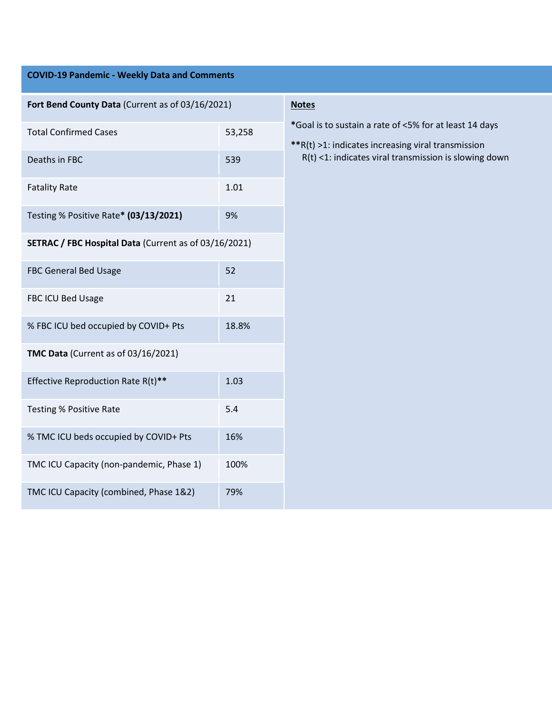| <b>COVID-19 Pandemic - Weekly Data and Comments</b>   |        |                                                                                                                                                                       |
|-------------------------------------------------------|--------|-----------------------------------------------------------------------------------------------------------------------------------------------------------------------|
|                                                       |        |                                                                                                                                                                       |
| Fort Bend County Data (Current as of 03/16/2021)      |        | <b>Notes</b>                                                                                                                                                          |
| <b>Total Confirmed Cases</b>                          | 53,258 | *Goal is to sustain a rate of <5% for at least 14 days<br>**R(t) >1: indicates increasing viral transmission<br>R(t) <1: indicates viral transmission is slowing down |
| Deaths in FBC                                         | 539    |                                                                                                                                                                       |
| <b>Fatality Rate</b>                                  | 1.01   |                                                                                                                                                                       |
| Testing % Positive Rate* (03/13/2021)                 | 9%     |                                                                                                                                                                       |
| SETRAC / FBC Hospital Data (Current as of 03/16/2021) |        |                                                                                                                                                                       |
| FBC General Bed Usage                                 | 52     |                                                                                                                                                                       |
| FBC ICU Bed Usage                                     | 21     |                                                                                                                                                                       |
| % FBC ICU bed occupied by COVID+ Pts                  | 18.8%  |                                                                                                                                                                       |
| TMC Data (Current as of 03/16/2021)                   |        |                                                                                                                                                                       |
| Effective Reproduction Rate R(t)**                    | 1.03   |                                                                                                                                                                       |
| <b>Testing % Positive Rate</b>                        | 5.4    |                                                                                                                                                                       |
| % TMC ICU beds occupied by COVID+ Pts                 | 16%    |                                                                                                                                                                       |
| TMC ICU Capacity (non-pandemic, Phase 1)              | 100%   |                                                                                                                                                                       |
| TMC ICU Capacity (combined, Phase 1&2)                | 79%    |                                                                                                                                                                       |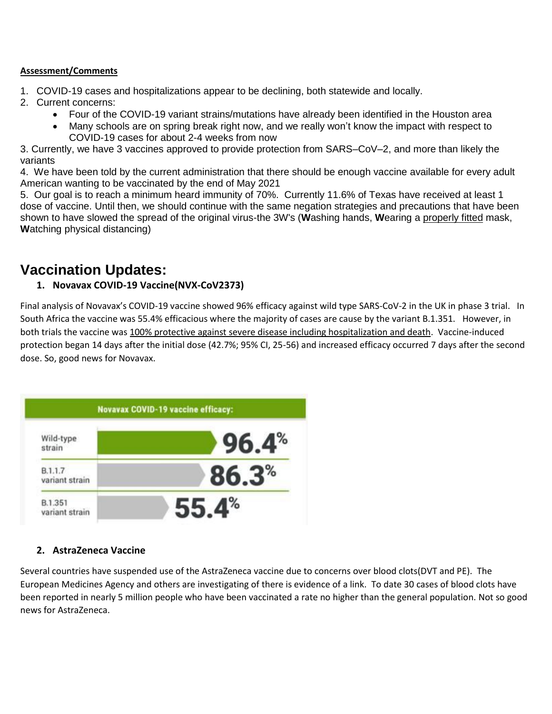#### **Assessment/Comments**

- 1. COVID-19 cases and hospitalizations appear to be declining, both statewide and locally.
- 2. Current concerns:
	- Four of the COVID-19 variant strains/mutations have already been identified in the Houston area
	- Many schools are on spring break right now, and we really won't know the impact with respect to COVID-19 cases for about 2-4 weeks from now

3. Currently, we have 3 vaccines approved to provide protection from SARS–CoV–2, and more than likely the variants

4. We have been told by the current administration that there should be enough vaccine available for every adult American wanting to be vaccinated by the end of May 2021

5. Our goal is to reach a minimum heard immunity of 70%. Currently 11.6% of Texas have received at least 1 dose of vaccine. Until then, we should continue with the same negation strategies and precautions that have been shown to have slowed the spread of the original virus-the 3W's (**W**ashing hands, **W**earing a properly fitted mask, **W**atching physical distancing)

# **Vaccination Updates:**

# **1. Novavax COVID-19 Vaccine(NVX-CoV2373)**

Final analysis of Novavax's COVID-19 vaccine showed 96% efficacy against wild type SARS-CoV-2 in the UK in phase 3 trial. In South Africa the vaccine was 55.4% efficacious where the majority of cases are cause by the variant B.1.351. However, in both trials the vaccine was 100% protective against severe disease including hospitalization and death. Vaccine-induced protection began 14 days after the initial dose (42.7%; 95% CI, 25-56) and increased efficacy occurred 7 days after the second dose. So, good news for Novavax.



# **2. AstraZeneca Vaccine**

Several countries have suspended use of the AstraZeneca vaccine due to concerns over blood clots(DVT and PE). The European Medicines Agency and others are investigating of there is evidence of a link. To date 30 cases of blood clots have been reported in nearly 5 million people who have been vaccinated a rate no higher than the general population. Not so good news for AstraZeneca.